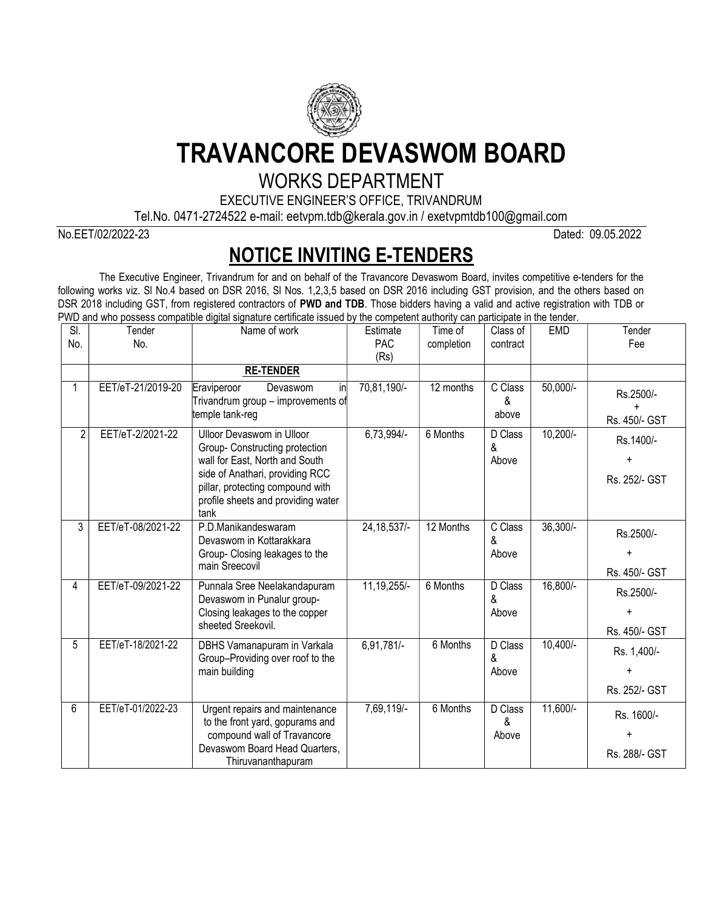

TRAVANCORE DEVASWOM BOARD

## WORKS DEPARTMENT

EXECUTIVE ENGINEER'S OFFICE, TRIVANDRUM

Tel.No. 0471-2724522 e-mail: eetvpm.tdb@kerala.gov.in / exetvpmtdb100@gmail.com

No.EET/02/2022-23 Dated: 09.05.2022

## NOTICE INVITING E-TENDERS

The Executive Engineer, Trivandrum for and on behalf of the Travancore Devaswom Board, invites competitive e-tenders for the following works viz. Sl No.4 based on DSR 2016, Sl Nos. 1,2,3,5 based on DSR 2016 including GST provision, and the others based on DSR 2018 including GST, from registered contractors of PWD and TDB. Those bidders having a valid and active registration with TDB or PWD and who possess compatible digital signature certificate issued by the competent authority can participate in the tender.

| SI.            | Tender            | Name of work                                                                                                                                                                                                              | Estimate           | Time of                | Class of              | <b>EMD</b> | Tender                                  |
|----------------|-------------------|---------------------------------------------------------------------------------------------------------------------------------------------------------------------------------------------------------------------------|--------------------|------------------------|-----------------------|------------|-----------------------------------------|
| No.            | No.               |                                                                                                                                                                                                                           | <b>PAC</b><br>(Rs) | completion             | contract              |            | Fee                                     |
|                |                   | <b>RE-TENDER</b>                                                                                                                                                                                                          |                    |                        |                       |            |                                         |
|                | EET/eT-21/2019-20 | in<br>Eraviperoor<br>Devaswom<br>Trivandrum group - improvements of<br>temple tank-reg                                                                                                                                    | 70,81,190/-        | $\overline{12}$ months | C Class<br>&<br>above | $50,000/-$ | Rs.2500/-<br>Rs. 450/- GST              |
| $\overline{2}$ | EET/eT-2/2021-22  | <b>Ulloor Devaswom in Ulloor</b><br>Group- Constructing protection<br>wall for East, North and South<br>side of Anathari, providing RCC<br>pillar, protecting compound with<br>profile sheets and providing water<br>tank | 6,73,994/-         | 6 Months               | D Class<br>&<br>Above | $10,200/-$ | Rs.1400/-<br>Rs. 252/- GST              |
| 3              | EET/eT-08/2021-22 | P.D.Manikandeswaram<br>Devaswom in Kottarakkara<br>Group- Closing leakages to the<br>main Sreecovil                                                                                                                       | 24, 18, 537/-      | 12 Months              | C Class<br>&<br>Above | $36,300/-$ | Rs.2500/-<br>$\ddot{}$<br>Rs. 450/- GST |
| 4              | EET/eT-09/2021-22 | Punnala Sree Neelakandapuram<br>Devaswom in Punalur group-<br>Closing leakages to the copper<br>sheeted Sreekovil.                                                                                                        | 11, 19, 255/-      | 6 Months               | D Class<br>&<br>Above | $16,800/-$ | Rs.2500/-<br>$\ddot{}$<br>Rs. 450/- GST |
| 5              | EET/eT-18/2021-22 | DBHS Vamanapuram in Varkala<br>Group-Providing over roof to the<br>main building                                                                                                                                          | 6,91,781/-         | 6 Months               | D Class<br>&<br>Above | $10,400/-$ | Rs. 1,400/-<br>Rs. 252/- GST            |
| 6              | EET/eT-01/2022-23 | Urgent repairs and maintenance<br>to the front yard, gopurams and<br>compound wall of Travancore<br>Devaswom Board Head Quarters,<br>Thiruvananthapuram                                                                   | 7,69,119/-         | 6 Months               | D Class<br>&<br>Above | $11,600/-$ | Rs. 1600/-<br>Rs. 288/- GST             |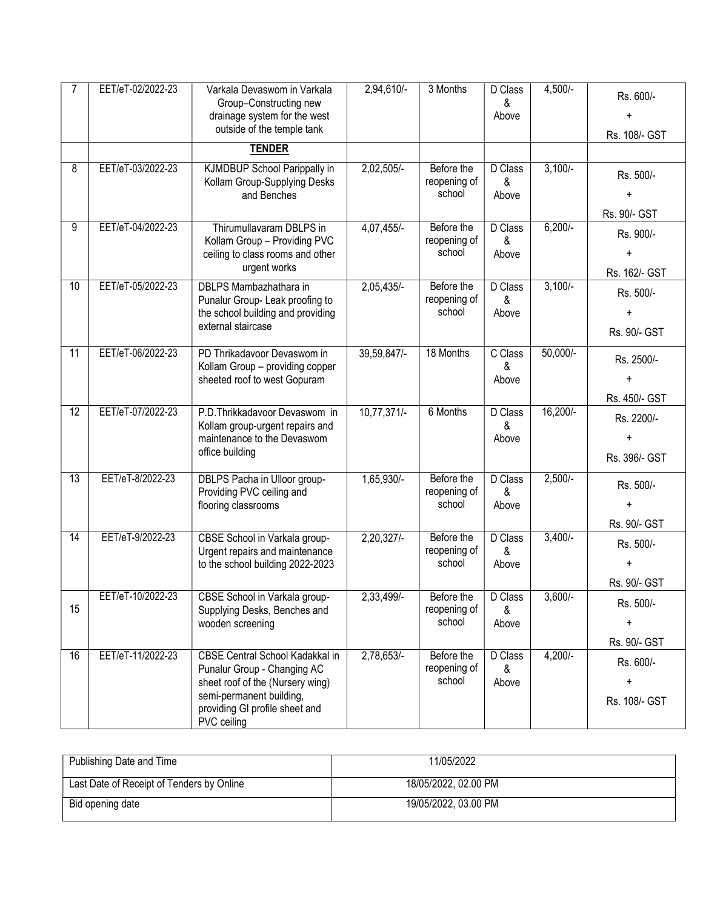|                 | EET/eT-02/2022-23 | Varkala Devaswom in Varkala<br>Group-Constructing new<br>drainage system for the west<br>outside of the temple tank                                                                    | 2,94,610/-    | 3 Months                             | D Class<br>&<br>Above | $4,500/-$  | Rs. 600/-<br>Rs. 108/- GST                  |
|-----------------|-------------------|----------------------------------------------------------------------------------------------------------------------------------------------------------------------------------------|---------------|--------------------------------------|-----------------------|------------|---------------------------------------------|
|                 |                   | <b>TENDER</b>                                                                                                                                                                          |               |                                      |                       |            |                                             |
| 8               | EET/eT-03/2022-23 | KJMDBUP School Parippally in<br>Kollam Group-Supplying Desks<br>and Benches                                                                                                            | $2,02,505/-$  | Before the<br>reopening of<br>school | D Class<br>&<br>Above | $3,100/-$  | Rs. 500/-<br>$\ddot{}$<br>Rs. 90/- GST      |
| 9               | EET/eT-04/2022-23 | Thirumullavaram DBLPS in<br>Kollam Group - Providing PVC<br>ceiling to class rooms and other<br>urgent works                                                                           | 4,07,455/-    | Before the<br>reopening of<br>school | D Class<br>&<br>Above | $6,200/-$  | Rs. 900/-<br>$\ddot{}$<br>Rs. 162/- GST     |
| 10              | EET/eT-05/2022-23 | DBLPS Mambazhathara in<br>Punalur Group- Leak proofing to<br>the school building and providing<br>external staircase                                                                   | 2,05,435/-    | Before the<br>reopening of<br>school | D Class<br>&<br>Above | $3,100/-$  | Rs. 500/-<br>$\ddot{}$<br>Rs. 90/- GST      |
| 11              | EET/eT-06/2022-23 | PD Thrikadavoor Devaswom in<br>Kollam Group - providing copper<br>sheeted roof to west Gopuram                                                                                         | 39,59,847/-   | 18 Months                            | C Class<br>&<br>Above | $50,000/-$ | Rs. 2500/-<br>$\ddot{}$<br>Rs. 450/- GST    |
| $\overline{12}$ | EET/eT-07/2022-23 | P.D.Thrikkadavoor Devaswom in<br>Kollam group-urgent repairs and<br>maintenance to the Devaswom<br>office building                                                                     | $10,77,371/-$ | 6 Months                             | D Class<br>&<br>Above | $16,200/-$ | Rs. 2200/-<br><sup>+</sup><br>Rs. 396/- GST |
| 13              | EET/eT-8/2022-23  | DBLPS Pacha in Ulloor group-<br>Providing PVC ceiling and<br>flooring classrooms                                                                                                       | 1,65,930/-    | Before the<br>reopening of<br>school | D Class<br>&<br>Above | $2,500/-$  | Rs. 500/-<br>$\ddot{}$<br>Rs. 90/- GST      |
| $\overline{14}$ | EET/eT-9/2022-23  | CBSE School in Varkala group-<br>Urgent repairs and maintenance<br>to the school building 2022-2023                                                                                    | $2,20,327$ /- | Before the<br>reopening of<br>school | D Class<br>&<br>Above | $3,400/-$  | Rs. 500/-<br>$\ddot{}$<br>Rs. 90/- GST      |
| 15              | EET/eT-10/2022-23 | CBSE School in Varkala group-<br>Supplying Desks, Benches and<br>wooden screening                                                                                                      | 2,33,499/-    | Before the<br>reopening of<br>school | D Class<br>&<br>Above | $3,600/-$  | Rs. 500/-<br>$\pm$<br>Rs. 90/- GST          |
| 16              | EET/eT-11/2022-23 | <b>CBSE Central School Kadakkal in</b><br>Punalur Group - Changing AC<br>sheet roof of the (Nursery wing)<br>semi-permanent building,<br>providing GI profile sheet and<br>PVC ceiling | 2,78,653/-    | Before the<br>reopening of<br>school | D Class<br>&<br>Above | $4,200/-$  | Rs. 600/-<br>$\ddot{}$<br>Rs. 108/- GST     |

| Publishing Date and Time                  | 11/05/2022           |
|-------------------------------------------|----------------------|
| Last Date of Receipt of Tenders by Online | 18/05/2022, 02.00 PM |
| Bid opening date                          | 19/05/2022, 03.00 PM |